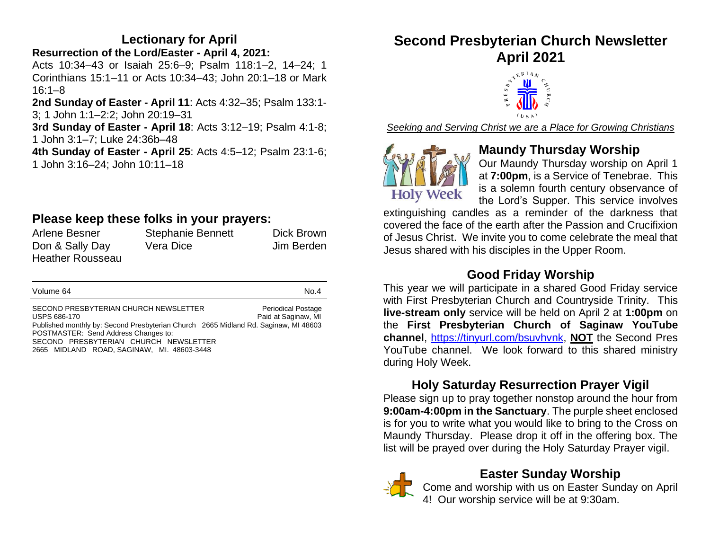# **Lectionary for April**

**Resurrection of the Lord/Easter - April 4, 2021:**  Acts 10:34–43 or Isaiah 25:6–9; Psalm 118:1–2, 14–24; 1 Corinthians 15:1–11 or Acts 10:34–43; John 20:1–18 or Mark 16:1–8

**2nd Sunday of Easter - April 11**: Acts 4:32–35; Psalm 133:1- 3; 1 John 1:1–2:2; John 20:19–31

**3rd Sunday of Easter - April 18**: Acts 3:12–19; Psalm 4:1-8; 1 John 3:1–7; Luke 24:36b–48

**4th Sunday of Easter - April 25**: Acts 4:5–12; Psalm 23:1-6; 1 John 3:16–24; John 10:11–18

# **Please keep these folks in your prayers:**

| Arlene Besner           | <b>Stephanie Bennett</b> | Dick Brown |
|-------------------------|--------------------------|------------|
| Don & Sally Day         | Vera Dice                | Jim Berden |
| <b>Heather Rousseau</b> |                          |            |

| Volume 64 | No.4 |
|-----------|------|
|-----------|------|

SECOND PRESBYTERIAN CHURCH NEWSLETTER Periodical Postage USPS 686-170 Paid at Saginaw, MI Published monthly by: Second Presbyterian Church 2665 Midland Rd. Saginaw, MI 48603 POSTMASTER: Send Address Changes to: SECOND PRESBYTERIAN CHURCH NEWSLETTER 2665 MIDLAND ROAD, SAGINAW, MI. 48603-3448

# **Second Presbyterian Church Newsletter**



*Seeking and Serving Christ we are a Place for Growing Christians*



# **Maundy Thursday Worship**

Our Maundy Thursday worship on April 1 at **7:00pm**, is a Service of Tenebrae. This is a solemn fourth century observance of the Lord's Supper. This service involves

extinguishing candles as a reminder of the darkness that covered the face of the earth after the Passion and Crucifixion of Jesus Christ. We invite you to come celebrate the meal that Jesus shared with his disciples in the Upper Room.

# **Good Friday Worship**

This year we will participate in a shared Good Friday service with First Presbyterian Church and Countryside Trinity. This **live-stream only** service will be held on April 2 at **1:00pm** on the **First Presbyterian Church of Saginaw YouTube channel**, [https://tinyurl.com/bsuvhvnk,](https://tinyurl.com/bsuvhvnk) **NOT** the Second Pres YouTube channel. We look forward to this shared ministry during Holy Week.

# **Holy Saturday Resurrection Prayer Vigil**

Please sign up to pray together nonstop around the hour from **9:00am-4:00pm in the Sanctuary**. The purple sheet enclosed is for you to write what you would like to bring to the Cross on Maundy Thursday. Please drop it off in the offering box. The list will be prayed over during the Holy Saturday Prayer vigil.



# **Easter Sunday Worship**

Come and worship with us on Easter Sunday on April 4! Our worship service will be at 9:30am.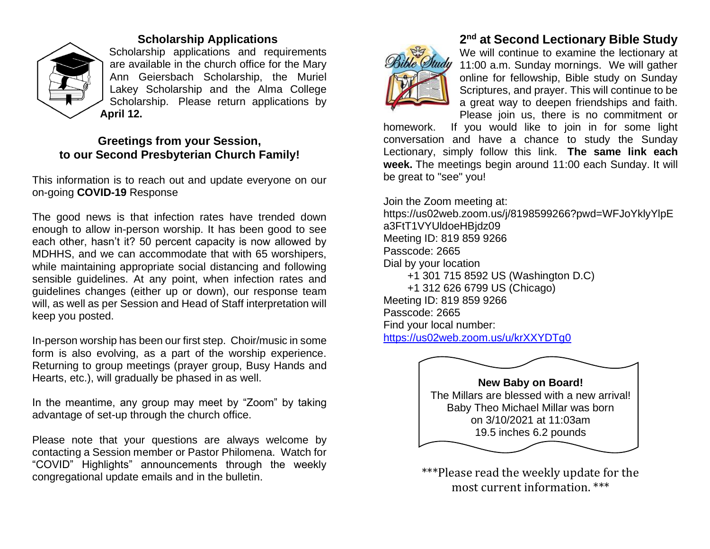

#### **Scholarship Applications**

Scholarship applications and requirements are available in the church office for the Mary Ann Geiersbach Scholarship, the Muriel Lakey Scholarship and the Alma College Scholarship. Please return applications by **April 12.**

#### **Greetings from your Session, to our Second Presbyterian Church Family!**

This information is to reach out and update everyone on our on-going **COVID-19** Response

The good news is that infection rates have trended down enough to allow in-person worship. It has been good to see each other, hasn't it? 50 percent capacity is now allowed by MDHHS, and we can accommodate that with 65 worshipers, while maintaining appropriate social distancing and following sensible guidelines. At any point, when infection rates and guidelines changes (either up or down), our response team will, as well as per Session and Head of Staff interpretation will keep you posted.

In-person worship has been our first step. Choir/music in some form is also evolving, as a part of the worship experience. Returning to group meetings (prayer group, Busy Hands and Hearts, etc.), will gradually be phased in as well.

In the meantime, any group may meet by "Zoom" by taking advantage of set-up through the church office.

Please note that your questions are always welcome by contacting a Session member or Pastor Philomena. Watch for "COVID" Highlights" announcements through the weekly congregational update emails and in the bulletin.



# **2 nd at Second Lectionary Bible Study**

We will continue to examine the lectionary at 11:00 a.m. Sunday mornings. We will gather online for fellowship, Bible study on Sunday Scriptures, and prayer. This will continue to be a great way to deepen friendships and faith. Please join us, there is no commitment or

homework. If you would like to join in for some light conversation and have a chance to study the Sunday Lectionary, simply follow this link. **The same link each week.** The meetings begin around 11:00 each Sunday. It will be great to "see" you!

Join the Zoom meeting at: https://us02web.zoom.us/j/8198599266?pwd=WFJoYklyYlpE a3FtT1VYUldoeHBjdz09 Meeting ID: 819 859 9266 Passcode: 2665 Dial by your location +1 301 715 8592 US (Washington D.C) +1 312 626 6799 US (Chicago) Meeting ID: 819 859 9266 Passcode: 2665 Find your local number: <https://us02web.zoom.us/u/krXXYDTg0>



\*\*\*Please read the weekly update for the most current information. \*\*\*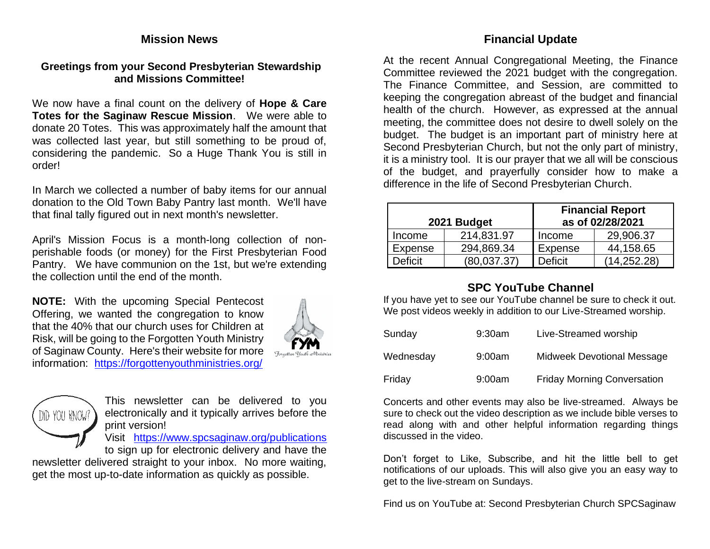#### **Mission News**

#### **Greetings from your Second Presbyterian Stewardship and Missions Committee!**

We now have a final count on the delivery of **Hope & Care Totes for the Saginaw Rescue Mission**. We were able to donate 20 Totes. This was approximately half the amount that was collected last year, but still something to be proud of, considering the pandemic. So a Huge Thank You is still in order!

In March we collected a number of baby items for our annual donation to the Old Town Baby Pantry last month. We'll have that final tally figured out in next month's newsletter.

April's Mission Focus is a month-long collection of nonperishable foods (or money) for the First Presbyterian Food Pantry. We have communion on the 1st, but we're extending the collection until the end of the month.

**NOTE:** With the upcoming Special Pentecost Offering, we wanted the congregation to know that the 40% that our church uses for Children at Risk, will be going to the Forgotten Youth Ministry of Saginaw County. Here's their website for more information: <https://forgottenyouthministries.org/>





This newsletter can be delivered to you electronically and it typically arrives before the print version!

Visit <https://www.spcsaginaw.org/publications>

to sign up for electronic delivery and have the newsletter delivered straight to your inbox. No more waiting, get the most up-to-date information as quickly as possible.

#### **Financial Update**

At the recent Annual Congregational Meeting, the Finance Committee reviewed the 2021 budget with the congregation. The Finance Committee, and Session, are committed to keeping the congregation abreast of the budget and financial health of the church. However, as expressed at the annual meeting, the committee does not desire to dwell solely on the budget. The budget is an important part of ministry here at Second Presbyterian Church, but not the only part of ministry, it is a ministry tool. It is our prayer that we all will be conscious of the budget, and prayerfully consider how to make a difference in the life of Second Presbyterian Church.

| 2021 Budget    |             | <b>Financial Report</b><br>as of 02/28/2021 |               |  |
|----------------|-------------|---------------------------------------------|---------------|--|
| Income         | 214,831.97  | Income                                      | 29,906.37     |  |
| Expense        | 294,869.34  | <b>Expense</b>                              | 44,158.65     |  |
| <b>Deficit</b> | (80,037.37) | <b>Deficit</b>                              | (14, 252, 28) |  |

## **SPC YouTube Channel**

If you have yet to see our YouTube channel be sure to check it out. We post videos weekly in addition to our Live-Streamed worship.

| Sunday    | $9:30$ am | Live-Streamed worship              |
|-----------|-----------|------------------------------------|
| Wednesday | 9:00am    | Midweek Devotional Message         |
| Friday    | 9:00am    | <b>Friday Morning Conversation</b> |

Concerts and other events may also be live-streamed. Always be sure to check out the video description as we include bible verses to read along with and other helpful information regarding things discussed in the video.

Don't forget to Like, Subscribe, and hit the little bell to get notifications of our uploads. This will also give you an easy way to get to the live-stream on Sundays.

Find us on YouTube at: Second Presbyterian Church SPCSaginaw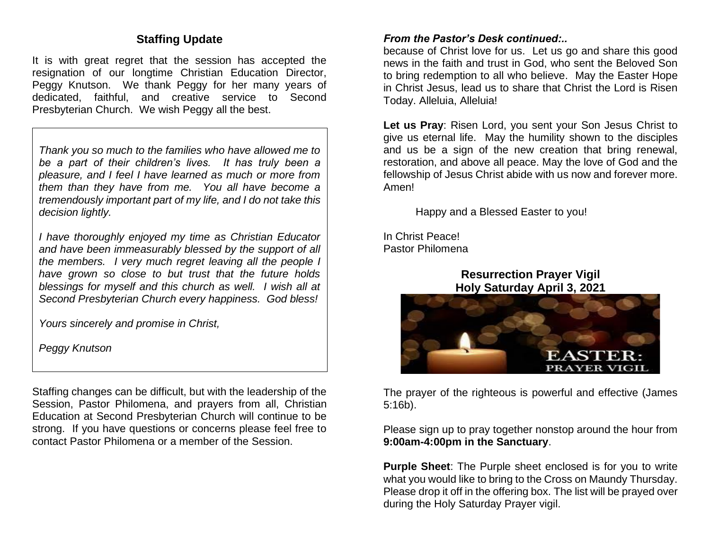## **Staffing Update**

It is with great regret that the session has accepted the resignation of our longtime Christian Education Director, Peagy Knutson. We thank Peggy for her many years of dedicated, faithful, and creative service to Second Presbyterian Church. We wish Peggy all the best.

*Thank you so much to the families who have allowed me to be a part of their children's lives. It has truly been a pleasure, and I feel I have learned as much or more from them than they have from me. You all have become a tremendously important part of my life, and I do not take this decision lightly.*

*I have thoroughly enjoyed my time as Christian Educator and have been immeasurably blessed by the support of all the members. I very much regret leaving all the people I have grown so close to but trust that the future holds blessings for myself and this church as well. I wish all at Second Presbyterian Church every happiness. God bless!*

*Yours sincerely and promise in Christ,*

*Peggy Knutson*

Staffing changes can be difficult, but with the leadership of the Session, Pastor Philomena, and prayers from all, Christian Education at Second Presbyterian Church will continue to be strong. If you have questions or concerns please feel free to contact Pastor Philomena or a member of the Session.

#### *From the Pastor's Desk continued:..*

because of Christ love for us. Let us go and share this good news in the faith and trust in God, who sent the Beloved Son to bring redemption to all who believe. May the Easter Hope in Christ Jesus, lead us to share that Christ the Lord is Risen Today. Alleluia, Alleluia!

**Let us Pray**: Risen Lord, you sent your Son Jesus Christ to give us eternal life. May the humility shown to the disciples and us be a sign of the new creation that bring renewal, restoration, and above all peace. May the love of God and the fellowship of Jesus Christ abide with us now and forever more. Amen!

Happy and a Blessed Easter to you!

In Christ Peace! Pastor Philomena

> **Resurrection Prayer Vigil Holy Saturday April 3, 2021**



The prayer of the righteous is powerful and effective (James 5:16b).

Please sign up to pray together nonstop around the hour from **9:00am-4:00pm in the Sanctuary**.

**Purple Sheet**: The Purple sheet enclosed is for you to write what you would like to bring to the Cross on Maundy Thursday. Please drop it off in the offering box. The list will be prayed over during the Holy Saturday Prayer vigil.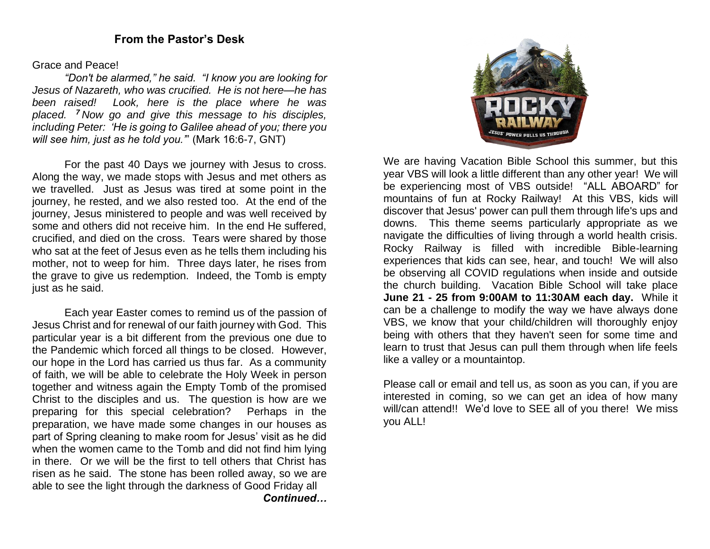#### Grace and Peace!

*"Don't be alarmed," he said. "I know you are looking for Jesus of Nazareth, who was crucified. He is not here—he has been raised! Look, here is the place where he was placed. <sup>7</sup> Now go and give this message to his disciples, including Peter: 'He is going to Galilee ahead of you; there you will see him, just as he told you.'*" (Mark 16:6-7, GNT)

For the past 40 Days we journey with Jesus to cross. Along the way, we made stops with Jesus and met others as we travelled. Just as Jesus was tired at some point in the journey, he rested, and we also rested too. At the end of the journey, Jesus ministered to people and was well received by some and others did not receive him. In the end He suffered, crucified, and died on the cross. Tears were shared by those who sat at the feet of Jesus even as he tells them including his mother, not to weep for him. Three days later, he rises from the grave to give us redemption. Indeed, the Tomb is empty just as he said.

Each year Easter comes to remind us of the passion of Jesus Christ and for renewal of our faith journey with God. This particular year is a bit different from the previous one due to the Pandemic which forced all things to be closed. However, our hope in the Lord has carried us thus far. As a community of faith, we will be able to celebrate the Holy Week in person together and witness again the Empty Tomb of the promised Christ to the disciples and us. The question is how are we preparing for this special celebration? Perhaps in the preparation, we have made some changes in our houses as part of Spring cleaning to make room for Jesus' visit as he did when the women came to the Tomb and did not find him lying in there. Or we will be the first to tell others that Christ has risen as he said. The stone has been rolled away, so we are able to see the light through the darkness of Good Friday all *Continued…*



We are having Vacation Bible School this summer, but this year VBS will look a little different than any other year! We will be experiencing most of VBS outside! "ALL ABOARD" for mountains of fun at Rocky Railway! At this VBS, kids will discover that Jesus' power can pull them through life's ups and downs. This theme seems particularly appropriate as we navigate the difficulties of living through a world health crisis. Rocky Railway is filled with incredible Bible-learning experiences that kids can see, hear, and touch! We will also be observing all COVID regulations when inside and outside the church building. Vacation Bible School will take place **June 21 - 25 from 9:00AM to 11:30AM each day.** While it can be a challenge to modify the way we have always done VBS, we know that your child/children will thoroughly enjoy being with others that they haven't seen for some time and learn to trust that Jesus can pull them through when life feels like a valley or a mountaintop.

Please call or email and tell us, as soon as you can, if you are interested in coming, so we can get an idea of how many will/can attend!! We'd love to SEE all of you there! We miss you ALL!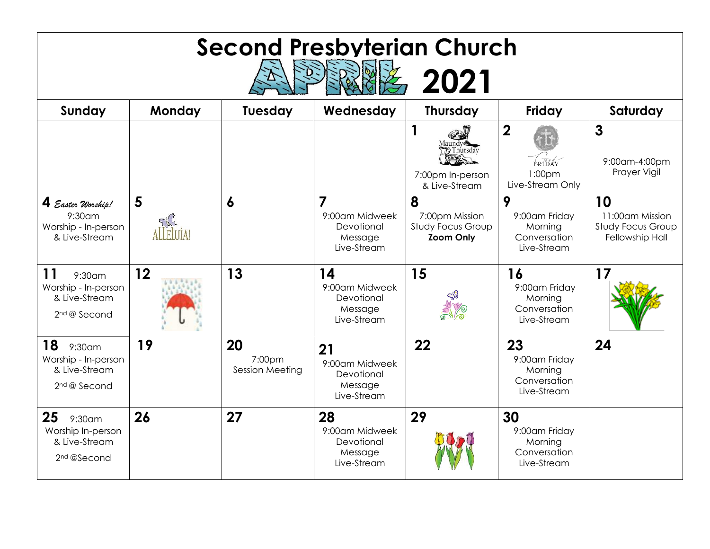| <b>Second Presbyterian Church</b><br>2021                                                  |            |                                 |                                                                          |                                                                     |                                                                             |                                                                      |
|--------------------------------------------------------------------------------------------|------------|---------------------------------|--------------------------------------------------------------------------|---------------------------------------------------------------------|-----------------------------------------------------------------------------|----------------------------------------------------------------------|
| Sunday                                                                                     | Monday     | Tuesday                         | Wednesday                                                                | <b>Thursday</b>                                                     | Friday                                                                      | Saturday                                                             |
|                                                                                            |            |                                 |                                                                          | 1<br>V Thursdav<br>7:00pm In-person<br>& Live-Stream                | $\boldsymbol{2}$<br><b>FRIBAY</b><br>1:00 <sub>pm</sub><br>Live-Stream Only | $\mathbf{3}$<br>9:00am-4:00pm<br>Prayer Vigil                        |
| 4 Easter Worship!<br>9:30am<br>Worship - In-person<br>& Live-Stream                        | 5<br>FIJJA | $\boldsymbol{6}$                | $\overline{7}$<br>9:00am Midweek<br>Devotional<br>Message<br>Live-Stream | 8<br>7:00pm Mission<br><b>Study Focus Group</b><br><b>Zoom Only</b> | 9<br>9:00am Friday<br>Morning<br>Conversation<br>Live-Stream                | 10<br>11:00am Mission<br><b>Study Focus Group</b><br>Fellowship Hall |
| <b>11</b><br>$9:30$ am<br>Worship - In-person<br>& Live-Stream<br>2 <sup>nd</sup> @ Second | 12         | 13                              | 14<br>9:00am Midweek<br>Devotional<br>Message<br>Live-Stream             | 15                                                                  | 16<br>9:00am Friday<br>Morning<br>Conversation<br>Live-Stream               | 17                                                                   |
| 18<br>9:30am<br>Worship - In-person<br>& Live-Stream<br>2 <sup>nd</sup> @ Second           | 19         | 20<br>7:00pm<br>Session Meeting | 21<br>9:00am Midweek<br>Devotional<br>Message<br>Live-Stream             | 22                                                                  | 23<br>9:00am Friday<br>Morning<br>Conversation<br>Live-Stream               | 24                                                                   |
| 25<br>$9:30$ am<br>Worship In-person<br>& Live-Stream<br>2 <sup>nd</sup> @Second           | 26         | 27                              | 28<br>9:00am Midweek<br>Devotional<br>Message<br>Live-Stream             | 29                                                                  | 30<br>9:00am Friday<br>Morning<br>Conversation<br>Live-Stream               |                                                                      |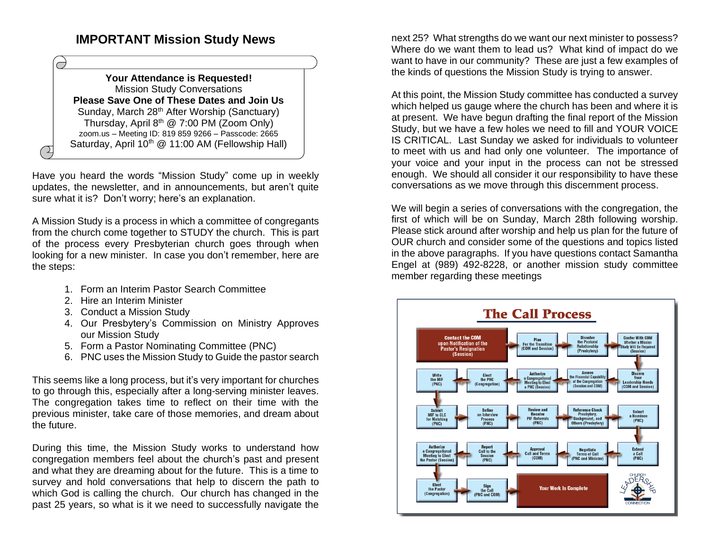## **IMPORTANT Mission Study News**

#### **Your Attendance is Requested!** Mission Study Conversations **Please Save One of These Dates and Join Us** Sunday, March 28<sup>th</sup> After Worship (Sanctuary) Thursday, April 8th @ 7:00 PM (Zoom Only) zoom.us – Meeting ID: 819 859 9266 – Passcode: 2665 Saturday, April  $10^{th}$  @ 11:00 AM (Fellowship Hall)

Have you heard the words "Mission Study" come up in weekly updates, the newsletter, and in announcements, but aren't quite sure what it is? Don't worry; here's an explanation.

A Mission Study is a process in which a committee of congregants from the church come together to STUDY the church. This is part of the process every Presbyterian church goes through when looking for a new minister. In case you don't remember, here are the steps:

- 1. Form an Interim Pastor Search Committee
- 2. Hire an Interim Minister

 $\Delta$ 

- 3. Conduct a Mission Study
- 4. Our Presbytery's Commission on Ministry Approves our Mission Study
- 5. Form a Pastor Nominating Committee (PNC)
- 6. PNC uses the Mission Study to Guide the pastor search

This seems like a long process, but it's very important for churches to go through this, especially after a long-serving minister leaves. The congregation takes time to reflect on their time with the previous minister, take care of those memories, and dream about the future.

During this time, the Mission Study works to understand how congregation members feel about the church's past and present and what they are dreaming about for the future. This is a time to survey and hold conversations that help to discern the path to which God is calling the church. Our church has changed in the past 25 years, so what is it we need to successfully navigate the

next 25? What strengths do we want our next minister to possess? Where do we want them to lead us? What kind of impact do we want to have in our community? These are just a few examples of the kinds of questions the Mission Study is trying to answer.

At this point, the Mission Study committee has conducted a survey which helped us gauge where the church has been and where it is at present. We have begun drafting the final report of the Mission Study, but we have a few holes we need to fill and YOUR VOICE IS CRITICAL. Last Sunday we asked for individuals to volunteer to meet with us and had only one volunteer. The importance of your voice and your input in the process can not be stressed enough. We should all consider it our responsibility to have these conversations as we move through this discernment process.

We will begin a series of conversations with the congregation, the first of which will be on Sunday, March 28th following worship. Please stick around after worship and help us plan for the future of OUR church and consider some of the questions and topics listed in the above paragraphs. If you have questions contact Samantha Engel at (989) 492-8228, or another mission study committee member regarding these meetings